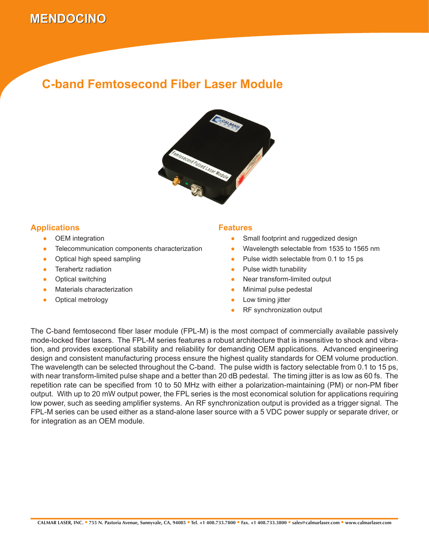# **MENDOCINO MENDOCINO**

### **C-band Femtosecond Fiber Laser Module**



### **Applications**

- OEM integration ●
- Telecommunication components characterization ●
- Optical high speed sampling ●
- Terahertz radiation ●
- Optical switching ●
- Materials characterization ●
- Optical metrology ●

#### **Features**

- Small footprint and ruggedized design ●
- Wavelength selectable from 1535 to 1565 nm ●
- Pulse width selectable from 0.1 to 15 ps ●
- Pulse width tunability ●
- Near transform-limited output ●
- Minimal pulse pedestal ●
- Low timing jitter ●
- RF synchronization output ●

The C-band femtosecond fiber laser module (FPL-M) is the most compact of commercially available passively mode-locked fiber lasers. The FPL-M series features a robust architecture that is insensitive to shock and vibration, and provides exceptional stability and reliability for demanding OEM applications. Advanced engineering design and consistent manufacturing process ensure the highest quality standards for OEM volume production. The wavelength can be selected throughout the C-band. The pulse width is factory selectable from 0.1 to 15 ps, with near transform-limited pulse shape and a better than 20 dB pedestal. The timing jitter is as low as 60 fs. The repetition rate can be specified from 10 to 50 MHz with either a polarization-maintaining (PM) or non-PM fiber output. With up to 20 mW output power, the FPL series is the most economical solution for applications requiring low power, such as seeding amplifier systems. An RF synchronization output is provided as a trigger signal. The FPL-M series can be used either as a stand-alone laser source with a 5 VDC power supply or separate driver, or for integration as an OEM module.